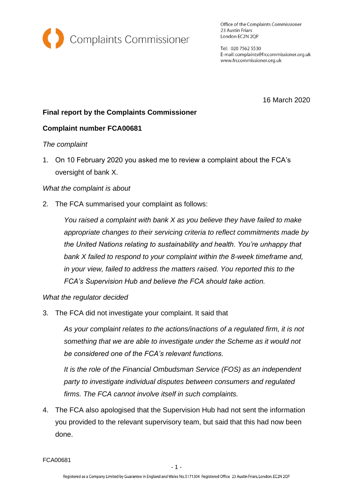

Office of the Complaints Commissioner 23 Austin Friars London EC2N 2QP

Tel: 020 7562 5530 E-mail: complaints@frccommissioner.org.uk www.frccommissioner.org.uk

16 March 2020

# **Final report by the Complaints Commissioner**

## **Complaint number FCA00681**

#### *The complaint*

1. On 10 February 2020 you asked me to review a complaint about the FCA's oversight of bank X.

#### *What the complaint is about*

2. The FCA summarised your complaint as follows:

*You raised a complaint with bank X as you believe they have failed to make appropriate changes to their servicing criteria to reflect commitments made by the United Nations relating to sustainability and health. You're unhappy that bank X failed to respond to your complaint within the 8-week timeframe and, in your view, failed to address the matters raised. You reported this to the FCA's Supervision Hub and believe the FCA should take action.*

#### *What the regulator decided*

3. The FCA did not investigate your complaint. It said that

*As your complaint relates to the actions/inactions of a regulated firm, it is not something that we are able to investigate under the Scheme as it would not be considered one of the FCA's relevant functions.*

*It is the role of the Financial Ombudsman Service (FOS) as an independent party to investigate individual disputes between consumers and regulated firms. The FCA cannot involve itself in such complaints.*

4. The FCA also apologised that the Supervision Hub had not sent the information you provided to the relevant supervisory team, but said that this had now been done.

FCA00681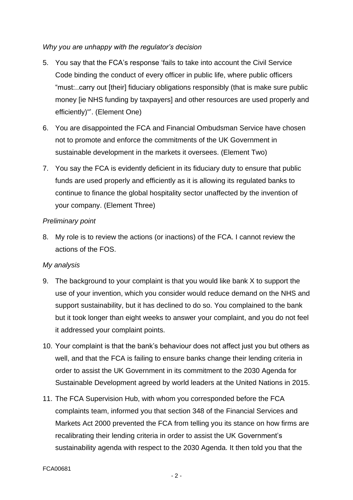## *Why you are unhappy with the regulator's decision*

- 5. You say that the FCA's response 'fails to take into account the Civil Service Code binding the conduct of every officer in public life, where public officers "must:..carry out [their] fiduciary obligations responsibly (that is make sure public money [ie NHS funding by taxpayers] and other resources are used properly and efficiently)"'. (Element One)
- 6. You are disappointed the FCA and Financial Ombudsman Service have chosen not to promote and enforce the commitments of the UK Government in sustainable development in the markets it oversees. (Element Two)
- 7. You say the FCA is evidently deficient in its fiduciary duty to ensure that public funds are used properly and efficiently as it is allowing its regulated banks to continue to finance the global hospitality sector unaffected by the invention of your company. (Element Three)

## *Preliminary point*

8. My role is to review the actions (or inactions) of the FCA. I cannot review the actions of the FOS.

#### *My analysis*

- 9. The background to your complaint is that you would like bank X to support the use of your invention, which you consider would reduce demand on the NHS and support sustainability, but it has declined to do so. You complained to the bank but it took longer than eight weeks to answer your complaint, and you do not feel it addressed your complaint points.
- 10. Your complaint is that the bank's behaviour does not affect just you but others as well, and that the FCA is failing to ensure banks change their lending criteria in order to assist the UK Government in its commitment to the 2030 Agenda for Sustainable Development agreed by world leaders at the United Nations in 2015.
- 11. The FCA Supervision Hub, with whom you corresponded before the FCA complaints team, informed you that section 348 of the Financial Services and Markets Act 2000 prevented the FCA from telling you its stance on how firms are recalibrating their lending criteria in order to assist the UK Government's sustainability agenda with respect to the 2030 Agenda. It then told you that the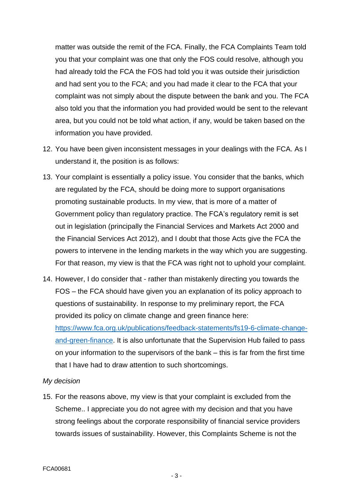matter was outside the remit of the FCA. Finally, the FCA Complaints Team told you that your complaint was one that only the FOS could resolve, although you had already told the FCA the FOS had told you it was outside their jurisdiction and had sent you to the FCA; and you had made it clear to the FCA that your complaint was not simply about the dispute between the bank and you. The FCA also told you that the information you had provided would be sent to the relevant area, but you could not be told what action, if any, would be taken based on the information you have provided.

- 12. You have been given inconsistent messages in your dealings with the FCA. As I understand it, the position is as follows:
- 13. Your complaint is essentially a policy issue. You consider that the banks, which are regulated by the FCA, should be doing more to support organisations promoting sustainable products. In my view, that is more of a matter of Government policy than regulatory practice. The FCA's regulatory remit is set out in legislation (principally the Financial Services and Markets Act 2000 and the Financial Services Act 2012), and I doubt that those Acts give the FCA the powers to intervene in the lending markets in the way which you are suggesting. For that reason, my view is that the FCA was right not to uphold your complaint.
- 14. However, I do consider that rather than mistakenly directing you towards the FOS – the FCA should have given you an explanation of its policy approach to questions of sustainability. In response to my preliminary report, the FCA provided its policy on climate change and green finance here: [https://www.fca.org.uk/publications/feedback-statements/fs19-6-climate-change](https://www.fca.org.uk/publications/feedback-statements/fs19-6-climate-change-and-green-finance)[and-green-finance.](https://www.fca.org.uk/publications/feedback-statements/fs19-6-climate-change-and-green-finance) It is also unfortunate that the Supervision Hub failed to pass on your information to the supervisors of the bank – this is far from the first time that I have had to draw attention to such shortcomings.

#### *My decision*

15. For the reasons above, my view is that your complaint is excluded from the Scheme.. I appreciate you do not agree with my decision and that you have strong feelings about the corporate responsibility of financial service providers towards issues of sustainability. However, this Complaints Scheme is not the